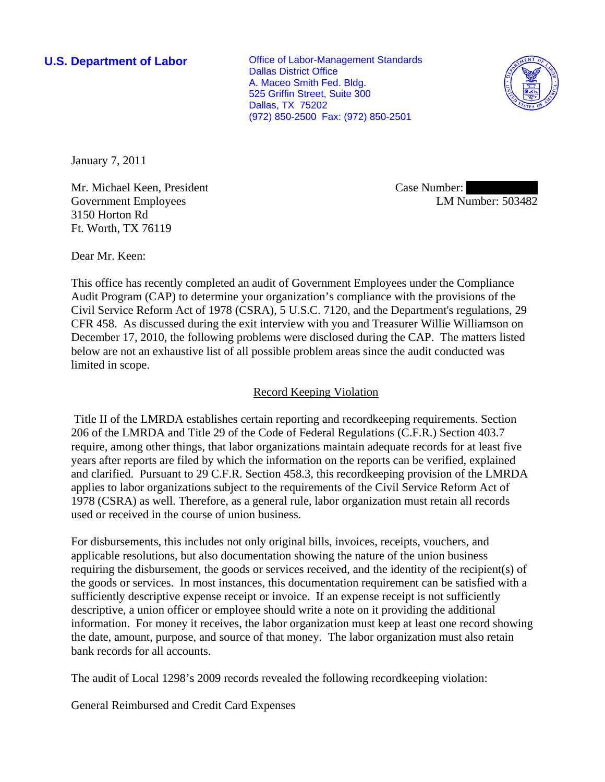**U.S. Department of Labor Conservative Conservative Conservative Conservative Conservative Conservative Conservative Conservative Conservative Conservative Conservative Conservative Conservative Conservative Conservative** Dallas District Office A. Maceo Smith Fed. Bldg. 525 Griffin Street, Suite 300 Dallas, TX 75202 (972) 850-2500 Fax: (972) 850-2501



January 7, 2011

Mr. Michael Keen, President Government Employees 3150 Horton Rd Ft. Worth, TX 76119

Case Number: LM Number: 503482

Dear Mr. Keen:

This office has recently completed an audit of Government Employees under the Compliance Audit Program (CAP) to determine your organization's compliance with the provisions of the Civil Service Reform Act of 1978 (CSRA), 5 U.S.C. 7120, and the Department's regulations, 29 CFR 458. As discussed during the exit interview with you and Treasurer Willie Williamson on December 17, 2010, the following problems were disclosed during the CAP. The matters listed below are not an exhaustive list of all possible problem areas since the audit conducted was limited in scope.

## Record Keeping Violation

 Title II of the LMRDA establishes certain reporting and recordkeeping requirements. Section 206 of the LMRDA and Title 29 of the Code of Federal Regulations (C.F.R.) Section 403.7 require, among other things, that labor organizations maintain adequate records for at least five years after reports are filed by which the information on the reports can be verified, explained and clarified. Pursuant to 29 C.F.R. Section 458.3, this recordkeeping provision of the LMRDA applies to labor organizations subject to the requirements of the Civil Service Reform Act of 1978 (CSRA) as well. Therefore, as a general rule, labor organization must retain all records used or received in the course of union business.

For disbursements, this includes not only original bills, invoices, receipts, vouchers, and applicable resolutions, but also documentation showing the nature of the union business requiring the disbursement, the goods or services received, and the identity of the recipient(s) of the goods or services. In most instances, this documentation requirement can be satisfied with a sufficiently descriptive expense receipt or invoice. If an expense receipt is not sufficiently descriptive, a union officer or employee should write a note on it providing the additional information. For money it receives, the labor organization must keep at least one record showing the date, amount, purpose, and source of that money. The labor organization must also retain bank records for all accounts.

The audit of Local 1298's 2009 records revealed the following recordkeeping violation:

General Reimbursed and Credit Card Expenses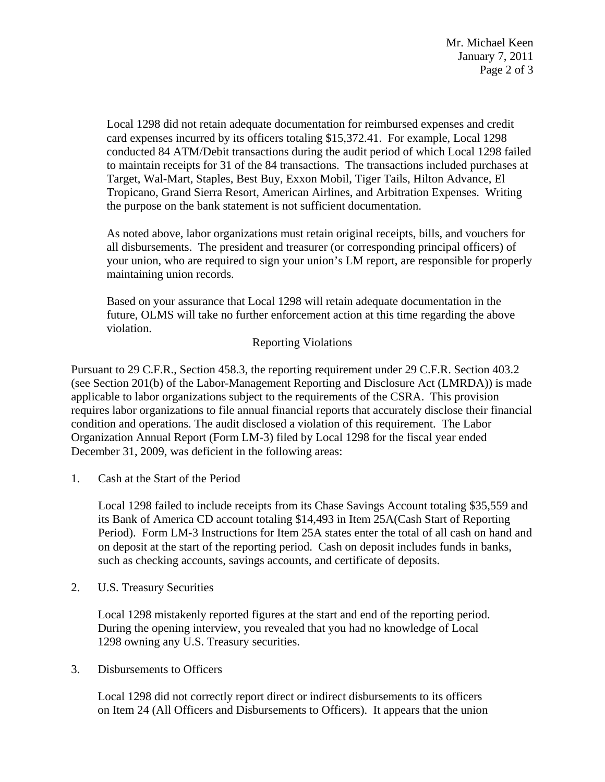Local 1298 did not retain adequate documentation for reimbursed expenses and credit card expenses incurred by its officers totaling \$15,372.41. For example, Local 1298 conducted 84 ATM/Debit transactions during the audit period of which Local 1298 failed to maintain receipts for 31 of the 84 transactions. The transactions included purchases at Target, Wal-Mart, Staples, Best Buy, Exxon Mobil, Tiger Tails, Hilton Advance, El Tropicano, Grand Sierra Resort, American Airlines, and Arbitration Expenses. Writing the purpose on the bank statement is not sufficient documentation.

As noted above, labor organizations must retain original receipts, bills, and vouchers for all disbursements. The president and treasurer (or corresponding principal officers) of your union, who are required to sign your union's LM report, are responsible for properly maintaining union records.

Based on your assurance that Local 1298 will retain adequate documentation in the future, OLMS will take no further enforcement action at this time regarding the above violation.

## Reporting Violations

Pursuant to 29 C.F.R., Section 458.3, the reporting requirement under 29 C.F.R. Section 403.2 (see Section 201(b) of the Labor-Management Reporting and Disclosure Act (LMRDA)) is made applicable to labor organizations subject to the requirements of the CSRA. This provision requires labor organizations to file annual financial reports that accurately disclose their financial condition and operations. The audit disclosed a violation of this requirement. The Labor Organization Annual Report (Form LM-3) filed by Local 1298 for the fiscal year ended December 31, 2009, was deficient in the following areas:

1. Cash at the Start of the Period

Local 1298 failed to include receipts from its Chase Savings Account totaling \$35,559 and its Bank of America CD account totaling \$14,493 in Item 25A(Cash Start of Reporting Period). Form LM-3 Instructions for Item 25A states enter the total of all cash on hand and on deposit at the start of the reporting period. Cash on deposit includes funds in banks, such as checking accounts, savings accounts, and certificate of deposits.

2. U.S. Treasury Securities

 Local 1298 mistakenly reported figures at the start and end of the reporting period. During the opening interview, you revealed that you had no knowledge of Local 1298 owning any U.S. Treasury securities.

3. Disbursements to Officers

 Local 1298 did not correctly report direct or indirect disbursements to its officers on Item 24 (All Officers and Disbursements to Officers). It appears that the union